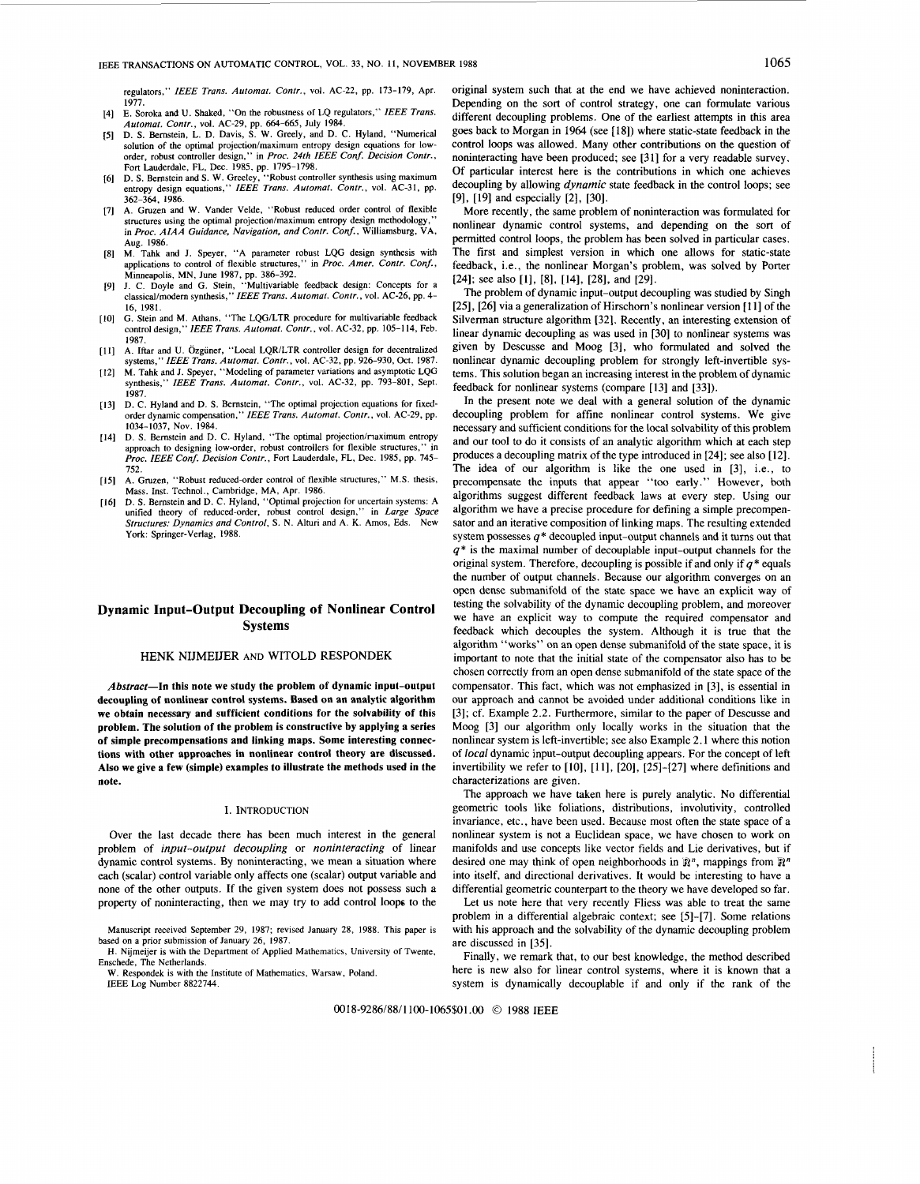regulators," *IEEE Trans. Automat. Contr.,* vol. AC-22, pp. 173-179, Apr. 1977. E. Soroka and U. Shaked, "On the robustness of LQ regulators,'' *IEEE Trans.* 

- $[4]$ *Automat. Contr.,* vol. AC-29, pp. *664-665,* July 1984.
- **D.** *S.* Bernstein, L. **D.** Davis, **S.** W. Greely, and D. C. Hyland, "Numerical solution of the optimal projection/maximum entropy design equations for low-<br>order, robust controller design," in *Proc. 24th IEEE Conf. Decision Contr.*, order, robust controller design,'' in Proc. 24th IEEE Conf. Decision Contr.,<br>Fort Lauderdale, FL, Dec. 1985, pp. 1795–1798.<br>D. S. Bernstein and S. W. Greeley, ''Robust controller synthesis using maximum
- entropy design equations, *Poper and S. W. Greeley, "Robust controller synthesis using maximum*<br>entropy design equations," *IEEE Trans. Automat. Contr.*, vol. AC-31, pp. 161 362-364, 1986.
- A. Gruzen and **W.** Vander Velde, "Robust reduced order control of flexible structures using the optimal projection/maximum entropy design methodology in *Proc. AIAA Guidance, Navigation, and Contr. Conf.,* Williamsburg, VA, Aug. 1986.
- [8] M. Tahk and J. Speyer, "A parameter robust LQG design synthesis with applications to control of flexible structures," in *Proc. Amer. Contr. Conf.,*  Minneapolis, MN, June 1987, pp. 386-392.
- 191 I. C. Doyle and G. Stein, "Multivariable feedback design: Concepts for a classical/modern synthesis," *IEEE Trans. Automat. Contr.,* vol. AC-26, pp. 4- 16, 1981.
- G. Stein and M. Athans, "The LQG/LTR procedure for multivariable feedback  $[10]$ control design,'' *IEEE Trans. Automat. Contr.,* vol. AC-32, pp, 105-1 **14,** Feb.
- 1987. A. Iftar and U. Ozgiiner, **"Local** LQRILTR controller design for decentralized systems," *IEEE Trans. Automat. Contr.,* vol. AC-32, pp. 926-930, Oct. 1987.
- [12] M. Tahk and J. Speyer, "Modeling of parameter variations and asymptotic LQG synthesis," *IEEE Trans. Automat. Contr.*, vol. AC-32, pp. 793-801, Sept.<br>1987
- 1987. **D.** C. Hyland and D. **S.** Bernstein, "The optimal projection equations for fixedorder dynamic compensation," *IEEE Trans. Automat. Contr.,* vol. AC-29, pp. 1034-1037, Nov. 1984.
- [14] D. S. Bernstein and D. C. Hyland, "The optimal projection/riaximum entropy approach to designing low-order, robust controllers for flexible structures,' *Proc. IEEE Conf. Decision Contr.,* Fort Lauderdale, FL, Dec. 1985, pp. 745-
- 752. A. Gruzen, "Robust reduced-order control of flexible structures," M.S. thesis,  $[15]$ Mass. Inst. Technol., Cambridge, MA, Apr. 1986.
- **D. S.** Bernstein and D. C. Hyland, "Optimal projection for uncertain systems: A  $[16]$ unified theory of reduced-order, robust control design," in *Large Space Structures: Dynamics and Control,* **S.** N. Alturi and A. K. Amos, Eds. New York: Springer-Verlag, 1988.

# **Dynamic Input-Output Decoupling of Nonlinear Control Systems**

## HENK NIJMEUER AND WITOLD RESPONDEK

Abstract-In this note we study the problem of dynamic input-output decoupling of nonlinear control systems. Based on an analytic algorithm we obtain necessary and sufficient conditions for the solvability of this problem. The solution of the problem is constructive by applying a series of simple precompensations and linking maps. Some interesting connections with other approaches in nonlinear control theory are discussed. Also we give a few (simple) examples to illustrate the methods used in the note.

### I. INTRODUCTION

Over the last decade there has been much interest in the general problem of *input-output decoupling* or *noninteracting* of linear dynamic control systems. By noninteracting, we mean a situation where each (scalar) control variable only affects one (scalar) output variable and none of the other outputs. If the given system does not possess such a property of noninteracting, then we may try to add control loops to the

Manuscript received September 29, 1987; revised January 28, 1988. This paper is based on a prior submission of January 26, 1987.

H. Nijmeijer is with the Department of Applied Mathematics, University of Twente, Enschede, The Netherlands.

W. Respondek is with the Institute of Mathematics, Warsaw, Poland. IEEE Log Number 8822744.

original system such that at the end we have achieved noninteraction. Depending on the sort of control strategy, one can formulate various different decoupling problems. One of the earliest attempts in this area goes back to Morgan in 1964 (see 1181) where static-state feedback in the control loops was allowed. Many other contributions on the question of noninteracting have been produced; see [3 I] for a very readable survey. Of particular interest here is the contributions in which one achieves decoupling by allowing *dynamic* state feedback in the control loops; see 191, 1191 and especially 121, 1301.

More recently, the same problem of noninteraction was formulated for nonlinear dynamic control systems, and depending on the sort of permitted control loops, the problem has been solved in particular cases. The first and simplest version in which one allows for static-state feedback, i.e., the nonlinear Morgan's problem, was solved by Porter  $[24]$ ; see also  $[1]$ ,  $[8]$ ,  $[14]$ ,  $[28]$ , and  $[29]$ .

The problem of dynamic input-output decoupling was studied by Singh [25], [26] via a generalization of Hirschorn's nonlinear version [11] of the Silverman structure algorithm [32]. Recently, an interesting extension of linear dynamic decoupling as was used in [30] to nonlinear systems was given by Descusse and Moog 131, who formulated and solved the nonlinear dynamic decoupling problem for strongly left-invertible systems. This solution began an increasing interest in the problem of dynamic feedback for nonlinear systems (compare [13] and [33]).

In the present note we deal with a general solution of the dynamic decoupling problem for affine nonlinear control systems. We give necessary and sufficient conditions for the local solvability of this problem and our tool to do it consists of an analytic algorithm which at each step produces a decoupling matrix of the type introduced in [24]; see also [12]. The idea of our algorithm is like the one used in **131,** i.e., to precompensate the inputs that appear "too early." However, both algorithms suggest different feedback laws at every step. Using our algorithm we have a precise procedure for defining a simple precompensator and an iterative composition of linking maps. The resulting extended system possesses  $q^*$  decoupled input-output channels and it turns out that *q\** is the maximal number of decouplable input-output channels for the original system. Therefore, decoupling is possible if and only if *q\** equals the number of output channels. Because our algorithm converges on an open dense submanifold of the state space we have an explicit way of testing the solvability of the dynamic decoupling problem, and moreover we have an explicit way to compute the required compensator and feedback which decouples the system. Although it is true that the algorithm "works" on an open dense submanifold of the state space, it is important to note that the initial state of the compensator also has to be chosen correctly from an open dense submanifold of the state space of the compensator. This fact, which was not emphasized in [3], is essential in our approach and cannot be avoided under additional conditions like in 131; cf. Example 2.2. Furthermore, similar to the paper of Descusse and Moog [3] our algorithm only locally works in the situation that the nonlinear system is left-invertible; see also Example 2.1 where this notion of *local* dynamic input-output decoupling appears. For the concept of left invertibility we refer to  $[10]$ ,  $[11]$ ,  $[20]$ ,  $[25]$ - $[27]$  where definitions and characterizations are given.

The approach we have taken here is purely analytic. No differential geometric tools like foliations, distributions, involutivity, controlled invariance, etc., have been used. Because most often the state space of a nonlinear system is not a Euclidean space, we have chosen to work on manifolds and use concepts like vector fields and Lie derivatives, but if desired one may think of open neighborhoods in  $\mathbb{R}^n$ , mappings from  $\mathbb{R}^n$ into itself, and directional derivatives. It would be interesting to have a differential geometric counterpart to the theory we have developed so far.

Let us note here that very recently Fliess was able to treat the same problem in a differential algebraic context; see [5]-[7]. Some relations with his approach and the solvability of the dynamic decoupling problem are discussed in [35].

Finally, we remark that, to our best knowledge, the method described here is new also for linear control systems, where it is known that a system is dynamically decouplable if and only if the rank of the

0018-9286/88~1100-1065\$01.00 *0* 1988 IEEE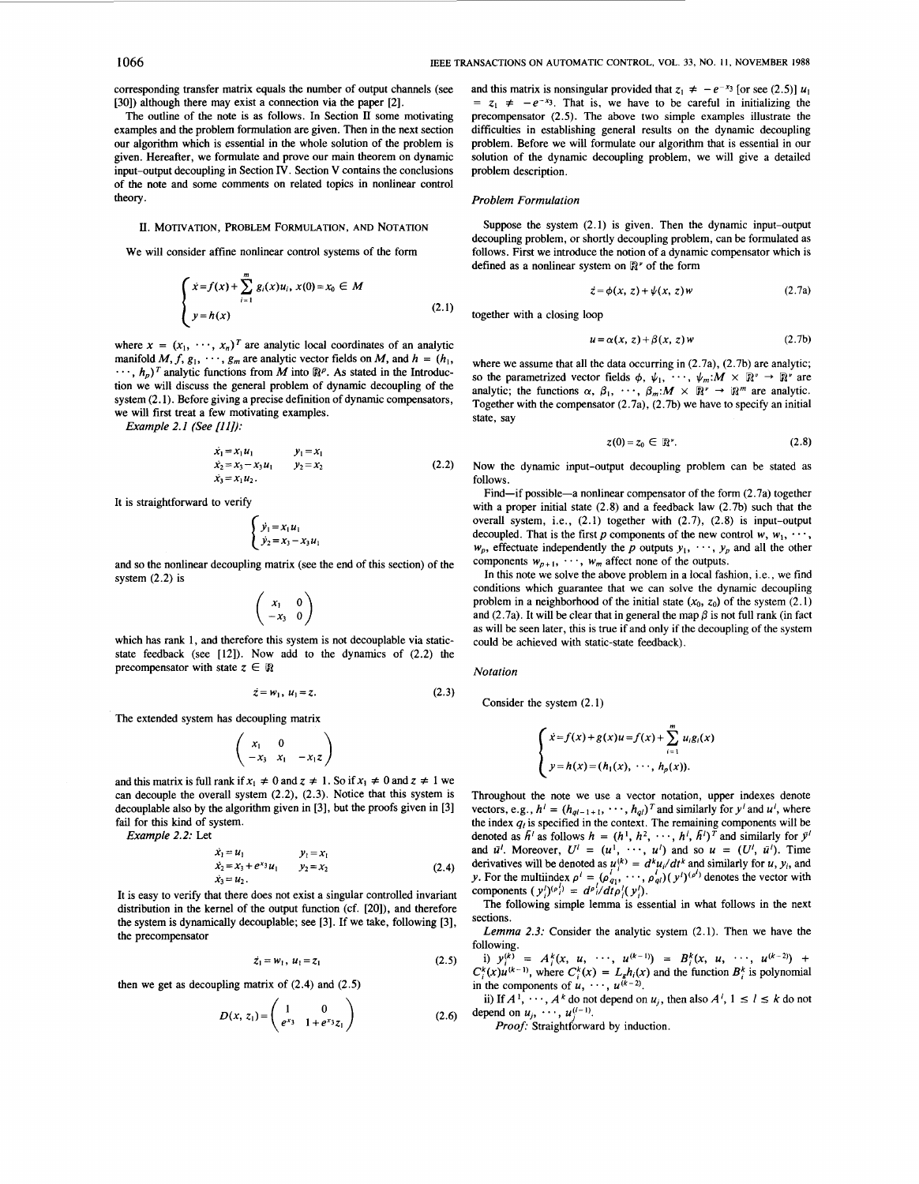corresponding transfer matrix equals the number of output channels (see [30]) although there may exist a connection via the paper [2].

The outline of the note is **as** follows. **In** Section **II** some motivating examples and the problem formulation are given. Then in the next section our algorithm which is essential in the whole solution of the problem is given. Hereafter, we formulate and prove our main theorem on dynamic input-output decoupling in Section IV. Section V contains the conclusions of the note and some comments on related topics in nonlinear control theory.

## U. MOTIVATION, PROBLEM FORMULATION, AND NOTATION

We will consider affine nonlinear control systems of the form

$$
\begin{cases} x = f(x) + \sum_{i=1}^{m} g_i(x) u_i, \ x(0) = x_0 \in M \\ y = h(x) \end{cases}
$$
 (2.1)

where  $x = (x_1, \dots, x_n)^T$  are analytic local coordinates of an analytic manifold  $M$ ,  $f$ ,  $g_1$ ,  $\dots$ ,  $g_m$  are analytic vector fields on  $M$ , and  $h = (h_1, h_2)$  $\cdots$ ,  $h_n$ )<sup>T</sup> analytic functions from M into  $\mathbb{R}^p$ . As stated in the Introduction we will discuss the general problem of dynamic decoupling of the system (2.1). Before giving a precise definition of dynamic compensators, we will first treat a few motivating examples.

*Example 2. I (See [I I]):* 

$$
\begin{aligned}\n\dot{x}_1 &= x_1 u_1 & y_1 &= x_1 \\
\dot{x}_2 &= x_3 - x_3 u_1 & y_2 &= x_2 \\
\dot{x}_3 &= x_1 u_2\n\end{aligned}\n\tag{2.2}
$$

It is straightforward to verify

$$
\begin{cases} \dot{y}_1 = x_1 u_1 \\ \dot{y}_2 = x_3 - x_3 u_1 \end{cases}
$$

and so the nonlinear decoupling matrix (see the end of this section) of the system (2.2) is

$$
\left(\begin{array}{cc} x_1 & 0 \\ -x_3 & 0 \end{array}\right)
$$

which has rank **1,** and therefore this system is not decouplable via staticstate feedback (see [12]). Now add to the dynamics of (2.2) the precompensator with state  $z \in \mathbb{R}$ 

$$
\dot{z} = w_1, u_1 = z. \tag{2.3}
$$

The extended system has decoupling matrix

$$
\left(\begin{array}{cc} x_1 & 0 \\ -x_3 & x_1 & -x_1z \end{array}\right)
$$

and this matrix is full rank if  $x_1 \neq 0$  and  $z \neq 1$ . So if  $x_1 \neq 0$  and  $z \neq 1$  we can decouple the overall system (2.2), (2.3). Notice that this system is decouplable also by the algorithm given in [3], but the proofs given in [3] fail for this kind of system.

*Example 2.2:* Let

$$
\begin{aligned}\n\dot{x}_1 &= u_1 & y_1 &= x_1 \\
\dot{x}_2 &= x_3 + e^{x_3} u_1 & y_2 &= x_2 \\
\dot{x}_3 &= u_2\n\end{aligned}\n\tag{2.4}
$$

It is easy to verify that there does not exist a singular controlled invariant distribution in the kernel of the output function (cf. [20]), and therefore the system is dynamically decouplable; see [3]. If we take, following [3], the precompensator

$$
z_1 = w_1, u_1 = z_1 \tag{2.5}
$$

then we get as decoupling matrix of (2.4) and (2.5)

$$
D(x, z_1) = \begin{pmatrix} 1 & 0 \\ e^{x_3} & 1 + e^{x_3} z_1 \end{pmatrix}
$$
 (2.6)

and this matrix is nonsingular provided that  $z_1 \neq -e^{-x_3}$  [or see (2.5)]  $u_1$  $= z_1 \neq -e^{-x_3}$ . That is, we have to be careful in initializing the precompensator (2.5). The above two simple examples illustrate the difficulties in establishing general results on the dynamic decoupling problem. Before we will formulate our algorithm that is essential in our solution of the dynamic decoupling problem, we will give a detailed problem description.

#### *Problem Formulation*

Suppose the system (2.1) is given. Then the dynamic input-output decoupling problem, or shortly decoupling problem, can be formulated as follows. First we introduce the notion of a dynamic compensator which is defined as a nonlinear system on  $\mathbb{R}^r$  of the form

$$
\dot{z} = \phi(x, z) + \psi(x, z)w \tag{2.7a}
$$

together with a closing loop

$$
u = \alpha(x, z) + \beta(x, z) w \tag{2.7b}
$$

where we assume that all the data occurring in  $(2.7a)$ ,  $(2.7b)$  are analytic; so the parametrized vector fields  $\phi$ ,  $\psi_1$ , ...,  $\psi_m$ : $M \times \mathbb{R}^n \to \mathbb{R}^n$  are analytic; the functions  $\alpha$ ,  $\beta_1$ ,  $\cdots$ ,  $\beta_m$ : $M \times \mathbb{R}^n \rightarrow \mathbb{R}^m$  are analytic. Together with the compensator  $(2.7a)$ ,  $(2.7b)$  we have to specify an initial state, say

$$
z(0) = z_0 \in \mathbb{R}^r. \tag{2.8}
$$

Now the dynamic input-output decoupling problem can be stated as follows.

Find-if possible-a nonlinear compensator of the form  $(2.7a)$  together with a proper initial state  $(2.8)$  and a feedback law  $(2.7b)$  such that the overall system, i.e., (2.1) together with (2.7), (2.8) is input-output decoupled. That is the first *p* components of the new control  $w, w_1, \cdots$ ,  $w_p$ , effectuate independently the *p* outputs  $y_1, \dots, y_p$  and all the other components  $w_{p+1}$ ,  $\dots$ ,  $w_m$  affect none of the outputs.

In this note we solve the above problem in a local fashion, i.e., we find conditions which guarantee that we can solve the dynamic decoupling problem in a neighborhood of the initial state  $(x_0, z_0)$  of the system  $(2.1)$ and (2.7a). It will be clear that in general the map  $\beta$  is not full rank (in fact as will be seen later, this is true if and only if the decoupling of the system could be achieved with static-state feedback).

### *Notation*

Consider the system (2.1)

$$
\begin{cases}\n\dot{x} = f(x) + g(x)u = f(x) + \sum_{i=1}^{m} u_i g_i(x) \\
y = h(x) = (h_1(x), \dots, h_p(x)).\n\end{cases}
$$

Throughout the note we use a vector notation, upper indexes denote vectors, e.g.,  $h^i = (h_{ql-1+1}, \dots, h_{ql})^T$  and similarly for  $y^i$  and  $u^i$ , where the index  $q_i$  is specified in the context. The remaining components will be denoted as  $\bar{h}^i$  as follows  $h = (h^1, h^2, \dots, h^i, \bar{h}^i)^T$  and similarly for  $\bar{y}^i$ and  $\bar{u}^l$ . Moreover,  $U^l = (u^l, \dots, u^l)$  and so  $u = (U^l, \bar{u}^l)$ . Time derivatives will be denoted as  $u_i^{(k)} = d^k u_i / dt^k$  and similarly for *u*, *y<sub>i</sub>*, and *y*. For the multiindex  $\rho^l = (o_{q_1}^{l_1}, \dots, o_{q_l}^{l_l})(y^l)^{(p_l)}$  denotes the vector with components  $(y')^{(\rho)} = d^{\rho} i/dt \rho' (y')$ .

The following simple lemma is essential in what follows in the next sections.

*Lemma* 2.3: Consider the analytic system (2.1). Then we have the following.

 $C_i^k(x)u^{(k-1)}$ , where  $C_i^k(x) = L_g h_i(x)$  and the function  $B_i^k$  is polynomial in the components of  $u, \dots, u^{(k-2)}$ . i)  $y_i^{(k)} = A_i^k(x, u, \cdots, u^{(k-1)}) = B_i^k(x, u, \cdots, u^{(k-2)})$ 

ii) If  $A^1$ ,  $\cdots$ ,  $A^k$  do not depend on  $u_j$ , then also  $A^i$ ,  $1 \le l \le k$  do not depend on  $u_j$ ,  $\dots$ ,  $u_j^{(l-1)}$ .

Proof: Straightforward by induction.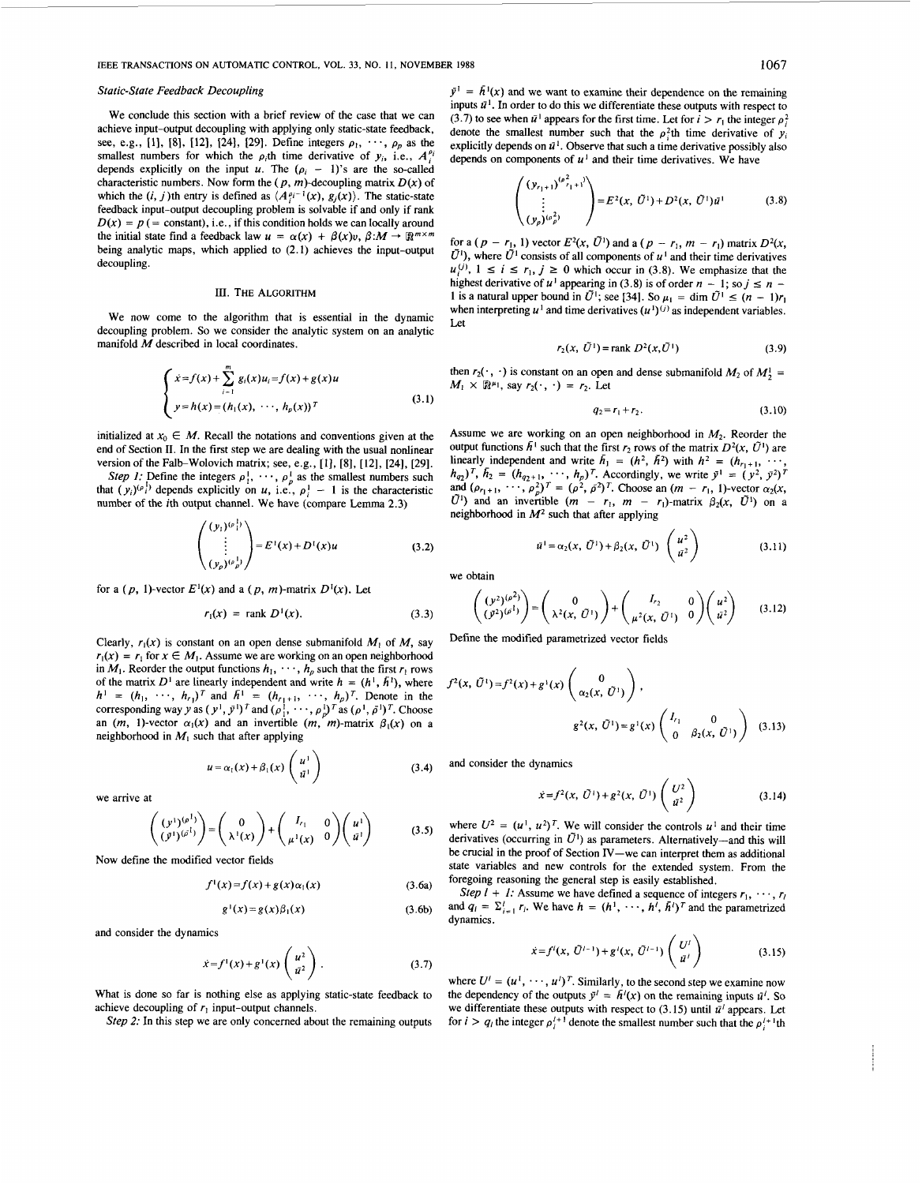### *Static-State Feedback Decoupling*

We conclude this section with a brief review of the case that we can achieve input-output decoupling with applying only static-state feedback, see, e.g., [1], [8], [12], [24], [29]. Define integers  $\rho_1, \dots, \rho_p$  as the smallest numbers for which the  $\rho_i$ th time derivative of  $y_i$ , i.e.,  $A_i^{\rho}$ depends explicitly on the input *u*. The  $(\rho_i - 1)$ 's are the so-called characteristic numbers. Now form the  $(p, m)$ -decoupling matrix  $D(x)$  of which the  $(i, j)$ th entry is defined as  $\langle A_i^{i-1}(x), g_j(x) \rangle$ . The static-state feedback input-output decoupling problem is solvable if and only if rank  $D(x) = p$  (= constant), i.e., if this condition holds we can locally around the initial state find a feedback law  $u = \alpha(x) + \beta(x)v$ ,  $\beta: M \to \mathbb{R}^{m \times m}$ being analytic maps, which applied to **(2.1)** achieves the input-output decoupling.

## III. THE ALGORITHM

We now come to the algorithm that is essential in the dynamic decoupling problem. So we consider the analytic system on an analytic manifold M described in local coordinates.

$$
\begin{cases}\n x = f(x) + \sum_{i=1}^{m} g_i(x)u_i = f(x) + g(x)u \\
 y = h(x) = (h_1(x), \dots, h_p(x))^T\n\end{cases}
$$
\n(3.1)

initialized at  $x_0 \in M$ . Recall the notations and conventions given at the end of Section **11.** In the first step we are dealing with the usual nonlinear version of the Falb-Wolovich matrix; see, e.g., **[l], [8], [12], [24], [29].** 

*Step 1:* Define the integers  $\rho_1^1, \dots, \rho_p^1$  as the smallest numbers such that  $(y_i)^{(p_i)}$  depends explicitly on *u*, i.e.,  $p_i^1 - 1$  is the characteristic number of the ith output channel. We have (compare Lemma **2.3)** 

$$
\begin{pmatrix}\n(y_1)^{(p_1^1)} \\
\vdots \\
(y_p)^{(p_p^1)}\n\end{pmatrix} = E^1(x) + D^1(x)u
$$
\n(3.2)

for a  $(p, 1)$ -vector  $E<sup>1</sup>(x)$  and a  $(p, m)$ -matrix  $D<sup>1</sup>(x)$ . Let

$$
r_1(x) = \text{rank } D^1(x). \tag{3.3}
$$

Clearly,  $r_1(x)$  is constant on an open dense submanifold  $M_1$  of  $M$ , say  $r_1(x) = r_1$  for  $x \in M_1$ . Assume we are working on an open neighborhood in  $M_1$ . Reorder the output functions  $h_1, \dots, h_p$  such that the first  $r_1$  rows of the matrix  $D^1$  are linearly independent and write  $h = (h^1, h^1)$ , where of the matrix  $D^1$  are linearly independent and write  $h = (h^1, h^1)$ , where  $h^1 = (h_1, \dots, h_r)^T$  and  $\bar{h}^1 = (h_{r_1+1}, \dots, h_p)^T$ . Denote in the corresponding way y as  $(y^1, \bar{y}^1)^T$  and  $(\rho_1^1, \dots, \rho_p^1)^T$  as  $(\rho^1, \bar{b}^1)^$ an  $(m, 1)$ -vector  $\alpha_1(x)$  and an invertible  $(m, m)$ -matrix  $\beta_1(x)$  on a neighborhood in  $M<sub>1</sub>$  such that after applying

$$
u = \alpha_1(x) + \beta_1(x) \begin{pmatrix} u^1 \\ \bar{u}^1 \end{pmatrix}
$$
 (3.4)

we arrive at

$$
\begin{pmatrix}\n(y^1)^{(p^1)} \\
(y^1)^{(p^1)}\n\end{pmatrix} = \begin{pmatrix}\n0 \\
\lambda^1(x)\n\end{pmatrix} + \begin{pmatrix}\nI_{r_1} & 0 \\
\mu^1(x) & 0\n\end{pmatrix} \begin{pmatrix}\nu^1 \\
u^1\n\end{pmatrix}
$$
\n(3.5)

Now define the modified vector fields

 $f<sup>1</sup>(x$ 

$$
)=f(x)+g(x)\alpha_1(x) \qquad (3.6a)
$$

$$
g^{(1)}(x) = g(x)\beta_1(x) \tag{3.6b}
$$

and consider the dynamics

$$
\dot{x} = f^{1}(x) + g^{1}(x) \begin{pmatrix} u^{2} \\ \bar{u}^{2} \end{pmatrix}.
$$
 (3.7)

What is done so far is nothing else as applying static-state feedback to achieve decoupling of  $r_1$  input-output channels.

*Step 2:* In this step we are only concerned about the remaining outputs

 $\bar{y}^1 = \bar{h}^1(x)$  and we want to examine their dependence on the remaining inputs  $\bar{u}^1$ . In order to do this we differentiate these outputs with respect to (3.7) to see when  $\bar{u}^1$  appears for the first time. Let for  $i > r_1$  the integer  $\rho_i^2$ denote the smallest number such that the  $\rho_i^2$ th time derivative of  $y_i$ explicitly depends on  $\bar{u}^1$ . Observe that such a time derivative possibly also depends on components of  $u^1$  and their time derivatives. We have

$$
\begin{pmatrix}\n(y_{r_1+1})^{(\rho^2_{r_1+1})}\n\\
\vdots \\
(y_p)^{(\rho^2_p)}\n\end{pmatrix} = E^2(x, \, \bar{U}^1) + D^2(x, \, \bar{U}^1) \bar{u}^1
$$
\n(3.8)

for a  $(p - r_1, 1)$  vector  $E^2(x, \bar{U}^1)$  and a  $(p - r_1, m - r_1)$  matrix  $D^2(x, \bar{U}^1)$  $\tilde{U}^1$ ), where  $\tilde{U}^1$  consists of all components of  $u^1$  and their time derivatives for a  $(p - r_1, 1)$  vector  $E^2(x, \tilde{U}^1)$  and a  $(p - r_1, m - r_1)$  matrix  $D^2(x, \tilde{U}^1)$ , where  $\tilde{U}^1$  consists of all components of  $u^1$  and their time derivatives  $u_i^{(j)}$ ,  $1 \le i \le r_1$ ,  $j \ge 0$  which occur in (3.8).  $\tilde{U}^1$ ), where  $\tilde{U}^1$  consists of all components of  $u^1$  and their time derivatives  $u_i^{(j)}$ ,  $1 \le i \le r_1$ ,  $j \ge 0$  which occur in (3.8). We emphasize that the highest derivative of  $u^1$  appearing in (3.8) is of highest derivative of  $u^1$  appearing in (3.8) is of order  $n - 1$ ; so  $j \le n - 1$  is a natural upper bound in  $\tilde{U}^1$ ; see [34]. So  $\mu_1 = \dim \tilde{U}^1 \le (n - 1)r_1$ when interpreting  $u^1$  and time derivatives  $(u^1)^{(j)}$  as independent variables. Let

$$
r_2(x, \, \tilde{U}^1) = \text{rank } D^2(x, \tilde{U}^1) \tag{3.9}
$$

then  $r_2(\cdot, \cdot)$  is constant on an open and dense submanifold  $M_2$  of  $M_2^1$  =  $M_1 \times \mathbb{R}^{n_1}$ , say  $r_2(\cdot, \cdot) = r_2$ . Let

$$
q_2 = r_1 + r_2. \t\t(3.10)
$$

Assume we are working on an open neighborhood in  $M_2$ . Reorder the output functions  $\bar{h}^1$  such that the first  $r_2$  rows of the matrix  $D^2(x, \bar{U}^1)$  are linearly independent and write  $\bar{h}_1 = (h^2, h^2)$  with  $h^2 = (h_{r_1+1}, \cdots, h_n)$ output functions  $h^1$  such that the first  $r_2$  rows of the matrix  $D^2(x, U^1)$  are<br>linearly independent and write  $\bar{h}_1 = (h^2, \bar{h}^2)$  with  $h^2 = (h_{r_1+1}, \dots, h_{q_2})^T$ ,  $\bar{h}_2 = (h_{q_2+1}, \dots, h_p)^T$ . Accordingly, we write  $(\bar{U}^1)$  and an invertible  $(m - r_1, m - r_1)$ -matrix  $\beta_2(x, \bar{U}^1)$  on a neighborhood in *M2* such that after applying

$$
\bar{u}^{1} = \alpha_{2}(x, \ \tilde{U}^{1}) + \beta_{2}(x, \ \tilde{U}^{1}) \begin{pmatrix} u^{2} \\ \bar{u}^{2} \end{pmatrix}
$$
 (3.11)

we obtain

$$
\begin{pmatrix} (y^2)^{(\rho^2)} \\ (y^2)^{(\rho^1)} \end{pmatrix} = \begin{pmatrix} 0 \\ \lambda^2(x, \mathcal{O}^1) \end{pmatrix} + \begin{pmatrix} I_{r_2} & 0 \\ \mu^2(x, \mathcal{O}^1) & 0 \end{pmatrix} \begin{pmatrix} u^2 \\ u^2 \end{pmatrix}
$$
(3.12)

Define the modified parametrized vector fields

$$
f^{2}(x, \tilde{U}^{1}) = f^{2}(x) + g^{1}(x) \begin{pmatrix} 0 \\ \alpha_{2}(x, \tilde{U}^{1}) \end{pmatrix},
$$
  

$$
g^{2}(x, \tilde{U}^{1}) = g^{1}(x) \begin{pmatrix} I_{r_{1}} & 0 \\ 0 & \beta_{2}(x, \tilde{U}^{1}) \end{pmatrix}
$$
(3.13)

and consider the dynamics

$$
\dot{x} = f^2(x, \ \tilde{U}^1) + g^2(x, \ \tilde{U}^1) \begin{pmatrix} U^2 \\ \tilde{u}^2 \end{pmatrix} \tag{3.14}
$$

where  $U^2 = (u^1, u^2)^T$ . We will consider the controls  $u^1$  and their time derivatives (occurring in  $\tilde{U}^1$ ) as parameters. Alternatively-and this will be crucial in the proof of Section IV-we can interpret them as additional state variables and new controls for the extended system. From the foregoing reasoning the general step is easily established.

*Step*  $\overline{l}$  + *I*: Assume we have defined a sequence of integers  $r_1$ ,  $\cdots$ ,  $r_i$ and  $q_i = \sum_{i=1}^l r_i$ . We have  $h = (h^1, \dots, h^l, \bar{h}^l)^T$  and the parametrized dynamics.

$$
\dot{x} = f^{i}(x, \bar{U}^{t-1}) + g^{i}(x, \bar{U}^{t-1}) \begin{pmatrix} U^{t} \\ \bar{u}^{t} \end{pmatrix}
$$
 (3.15)

where  $U^i = (u^i, \dots, u^i)^T$ . Similarly, to the second step we examine now the dependency of the outputs  $\bar{y}^i = \bar{h}^i(x)$  on the remaining inputs  $\bar{u}^i$ . So we differentiate these outputs with respect to  $(3.15)$  until  $\bar{u}^l$  appears. Let for  $i > q_i$  the integer  $\rho_i^{i+1}$  denote the smallest number such that the  $\rho_i^{i+1}$ th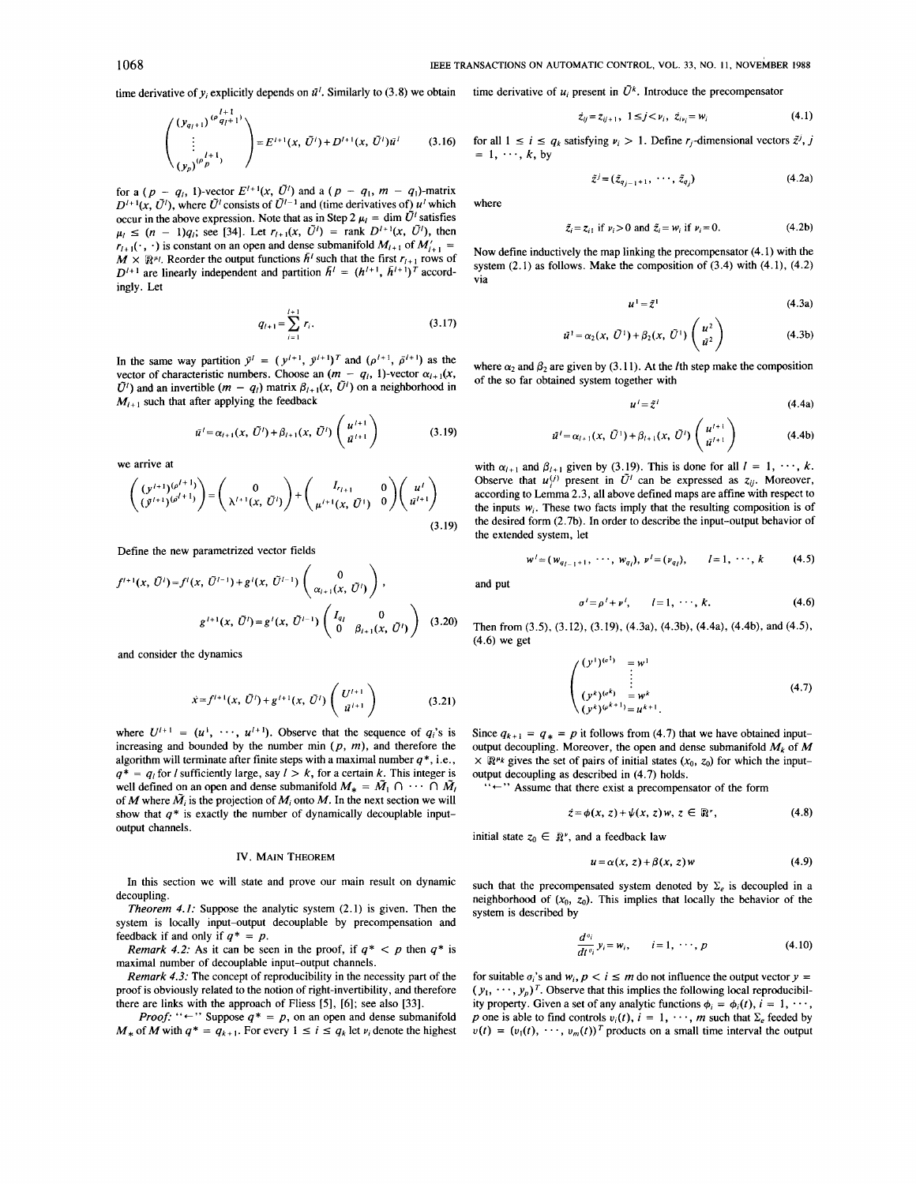time derivative of  $y_i$  explicitly depends on  $\bar{u}^i$ . Similarly to (3.8) we obtain

 $\sim$ 

$$
\begin{pmatrix} (y_{q_l+1})^{(p_l+1)} \\ \vdots \\ (y_p)^{(p_p+1)} \end{pmatrix} = E^{l+1}(x, \, \bar{U}^l) + D^{l+1}(x, \, \bar{U}^l) \bar{u}^l \tag{3.16}
$$

for a  $(p - q_i, 1)$ -vector  $E^{i+1}(x, \bar{U}^i)$  and a  $(p - q_i, m - q_i)$ -matrix  $D^{l+1}(x, \tilde{U}^l)$ , where  $\tilde{U}^l$  consists of  $\tilde{U}^{l-1}$  and (time derivatives of)  $u^l$  which occur in the above expression. Note that as in Step 2  $\mu_l = \dim \tilde{U}^l$  satisfies  $\mu_l \leq (n - 1)q_l$ ; see [34]. Let  $r_{l+1}(x, \tilde{U}^l) = \text{rank } D^{l+1}(x, \tilde{U}^l)$ , then  $r_{i+1}(\cdot, \cdot)$  is constant on an open and dense submanifold  $M_{i+1}$  of  $M'_{i+1}$  $M \times \mathbb{R}^{\mu}$ . Reorder the output functions  $\bar{h}^l$  such that the first  $r_{l+1}$  rows of  $D^{l+1}$  are linearly independent and partition  $\bar{h}^l = (h^{l+1}, \bar{h}^{l+1})^T$  accordingly. Let

$$
q_{l+1} = \sum_{i=1}^{l+1} r_i.
$$
 (3.17)

In the same way partition  $\bar{y}^l = (y^{l+1}, \bar{y}^{l+1})^T$  and  $(\rho^{l+1}, \bar{\rho}^{l+1})$  as the vector of characteristic numbers. Choose an  $(m - q_i, 1)$ -vector  $\alpha_{i+1}(x, x)$  $\tilde{U}$ <sup>t</sup>) and an invertible  $(m - q_1)$  matrix  $\beta_{i+1}(x, \tilde{U}^i)$  on a neighborhood in  $M_{i+1}$  such that after applying the feedback

$$
\bar{u}^{l} = \alpha_{l+1}(x, \ \tilde{U}^{l}) + \beta_{l+1}(x, \ \tilde{U}^{l}) \begin{pmatrix} u^{l+1} \\ \bar{u}^{l+1} \end{pmatrix}
$$
 (3.19)

we arrive at

$$
\begin{pmatrix} (y^{i+1})^{(\rho^{i+1})} \\ (\bar{y}^{i+1})^{(\rho^{i+1})} \end{pmatrix} = \begin{pmatrix} 0 \\ \lambda^{i+1}(x, \bar{U}^i) \end{pmatrix} + \begin{pmatrix} I_{r_{i+1}} & 0 \\ \mu^{i+1}(x, \bar{U}^i) & 0 \end{pmatrix} \begin{pmatrix} u^i \\ \bar{u}^{i+1} \end{pmatrix}
$$
\n(3.19)

Define the new parametrized vector fields

$$
f^{l+1}(x, \tilde{U}^{l}) = f^{l}(x, \tilde{U}^{l-1}) + g^{l}(x, \tilde{U}^{l-1}) \begin{pmatrix} 0 \\ \alpha_{l+1}(x, \tilde{U}^{l}) \end{pmatrix},
$$

$$
g^{l+1}(x, \tilde{U}^{l}) = g^{l}(x, \tilde{U}^{l-1}) \begin{pmatrix} I_{q_l} & 0 \\ 0 & \beta_{l+1}(x, \tilde{U}^{l}) \end{pmatrix}
$$
(3.20)

and consider the dynamics

$$
\dot{x} = f^{l+1}(x, \ \tilde{U}^l) + g^{l+1}(x, \ \tilde{U}^l) \left( \begin{array}{c} U^{l+1} \\ \tilde{u}^{l+1} \end{array} \right) \tag{3.21}
$$

where  $U^{l+1} = (u^1, \dots, u^{l+1})$ . Observe that the sequence of  $q_i$ 's is increasing and bounded by the number min  $(p, m)$ , and therefore the algorithm will terminate after finite steps with a maximal number *q\*,* i.e.,  $q^* = q_i$  for *l* sufficiently large, say  $l > k$ , for a certain k. This integer is well defined on an open and dense submanifold  $M_* = \tilde{M}_1 \cap \cdots \cap \tilde{M}_l$ of *M* where  $\tilde{M}_i$  is the projection of  $M_i$  onto  $M$ . In the next section we will show that  $q^*$  is exactly the number of dynamically decouplable inputoutput channels.

### IV. MAIN THEOREM

In this section we will state and prove our main result on dynamic decoupling.

Theorem *4.1:* Suppose the analytic system (2.1) is given. Then the system is locally input-output decouplable by precompensation and feedback if and only if  $q^* = p$ .

Remark 4.2: As it can be seen in the proof, if  $q^* < p$  then  $q^*$  is maximal number of decouplable input-output channels.

Remark 4.3: The concept of reproducibility in the necessity part of the proof is obviously related to the notion of right-invertibility, and therefore there are links with the approach of Fliess *[5],* [6]; see also [33].

there are links with the approach of Fliess [5], [6]; see also [33].<br>*Proof:* " $\leftarrow$ " Suppose  $q^* = p$ , on an open and dense submanifold  $M_*$  of  $M$  with  $q^* = q_{k+1}$ . For every  $1 \le i \le q_k$  let  $v_i$  denote the highest

time derivative of  $u_i$  present in  $\tilde{U}^k$ . Introduce the precompensator

$$
\dot{z}_{ij} = z_{ij+1}, \ 1 \leq j < \nu_i, \ \dot{z}_{i\nu_i} = w_i \tag{4.1}
$$

for all  $1 \le i \le q_k$  satisfying  $\nu_i > 1$ . Define  $r_j$ -dimensional vectors  $\tilde{z}^j$ , *j*  $= 1, \dots, k$ , by

 $\tilde{z}^j = (\tilde{z}_{q_{i-1}+1}, \dots, \tilde{z}_{q_i})$  (4.2a)

where

$$
\tilde{z}_i = z_{i1} \text{ if } \nu_i > 0 \text{ and } \tilde{z}_i = w_i \text{ if } \nu_i = 0. \tag{4.2b}
$$

Now define inductively the map linking the precompensator (4.1) with the system  $(2.1)$  as follows. Make the composition of  $(3.4)$  with  $(4.1)$ ,  $(4.2)$ via

$$
u^1 = \tilde{z}^1 \tag{4.3a}
$$

$$
\bar{u}^1 = \alpha_2(x, \ \bar{U}^1) + \beta_2(x, \ \bar{U}^1) \begin{pmatrix} u^2 \\ \bar{u}^2 \end{pmatrix}
$$
 (4.3b)

where  $\alpha_2$  and  $\beta_2$  are given by (3.11). At the *l*th step make the composition of the so far obtained system together with

$$
u' = \tilde{z}^l \tag{4.4a}
$$

$$
\tilde{u}^{l} = \alpha_{l+1}(x, \ \tilde{U}^{1}) + \beta_{l+1}(x, \ \tilde{U}^{l}) \left(\begin{array}{c} u^{l+1} \\ \tilde{u}^{l+1} \end{array}\right) \tag{4.4b}
$$

with  $\alpha_{l+1}$  and  $\beta_{l+1}$  given by (3.19). This is done for all  $l = 1, \dots, k$ . Observe that  $u^{(j)}$  present in  $\tilde{U}^l$  can be expressed as  $z_{ij}$ . Moreover, according to Lemma 2.3, all above defined maps are affine with respect to the inputs  $w_i$ . These two facts imply that the resulting composition is of the desired form (2.7b). **In** order to describe the input-output behavior of the extended system, let

$$
w'=(w_{q_{l-1}+1}, \cdots, w_{q_l}), v'=(v_{q_l}), \qquad l=1, \cdots, k
$$
 (4.5)

and put

$$
\sigma^l = \rho^l + \nu^l, \qquad l = 1, \cdots, k. \tag{4.6}
$$

Then from (3.9, (3.12), (3.19), (4.3a), (4.3b), (4.4a), (4.4b), and (4.5), (4.6) we get

$$
\begin{pmatrix}\n(y^{1})^{(a^{1})} & = w^{1} \\
\vdots & \vdots \\
(y^{k})^{(a^{k})} & = w^{k} \\
(y^{k})^{(a^{k+1})} & = u^{k+1}.\n\end{pmatrix}
$$
\n(4.7)

Since  $q_{k+1} = q_* = p$  it follows from (4.7) that we have obtained inputoutput decoupling. Moreover, the open and dense submanifold  $M_k$  of  $M$  $\times \mathbb{R}^{n_k}$  gives the set of pairs of initial states  $(x_0, z_0)$  for which the inputoutput decoupling as described in (4.7) holds.

tput decoupling as described in  $(4.7)$  holds.<br>" $\leftarrow$ " Assume that there exist a precompensator of the form

$$
\dot{z} = \phi(x, z) + \psi(x, z) w, z \in \mathbb{R}^n, \tag{4.8}
$$

initial state  $z_0 \in \mathbb{R}^{\nu}$ , and a feedback law

$$
u = \alpha(x, z) + \beta(x, z) w \tag{4.9}
$$

such that the precompensated system denoted by  $\Sigma_e$  is decoupled in a neighborhood of  $(x_0, z_0)$ . This implies that locally the behavior of the system is described by

$$
\frac{d^{a_i}}{dt^{a_i}}y_i = w_i, \qquad i = 1, \cdots, p \qquad (4.10)
$$

for suitable  $\sigma_i$ 's and  $w_i$ ,  $p < i \leq m$  do not influence the output vector  $y =$  $(y_1, \dots, y_p)^T$ . Observe that this implies the following local reproducibility property. Given a set of any analytic functions  $\phi_i = \phi_i(t)$ ,  $i = 1, \dots$ , p one is able to find controls  $v_i(t)$ ,  $i = 1, \dots, m$  such that  $\Sigma_e$  feeded by  $v(t) = (v_1(t), \dots, v_m(t))^T$  products on a small time interval the output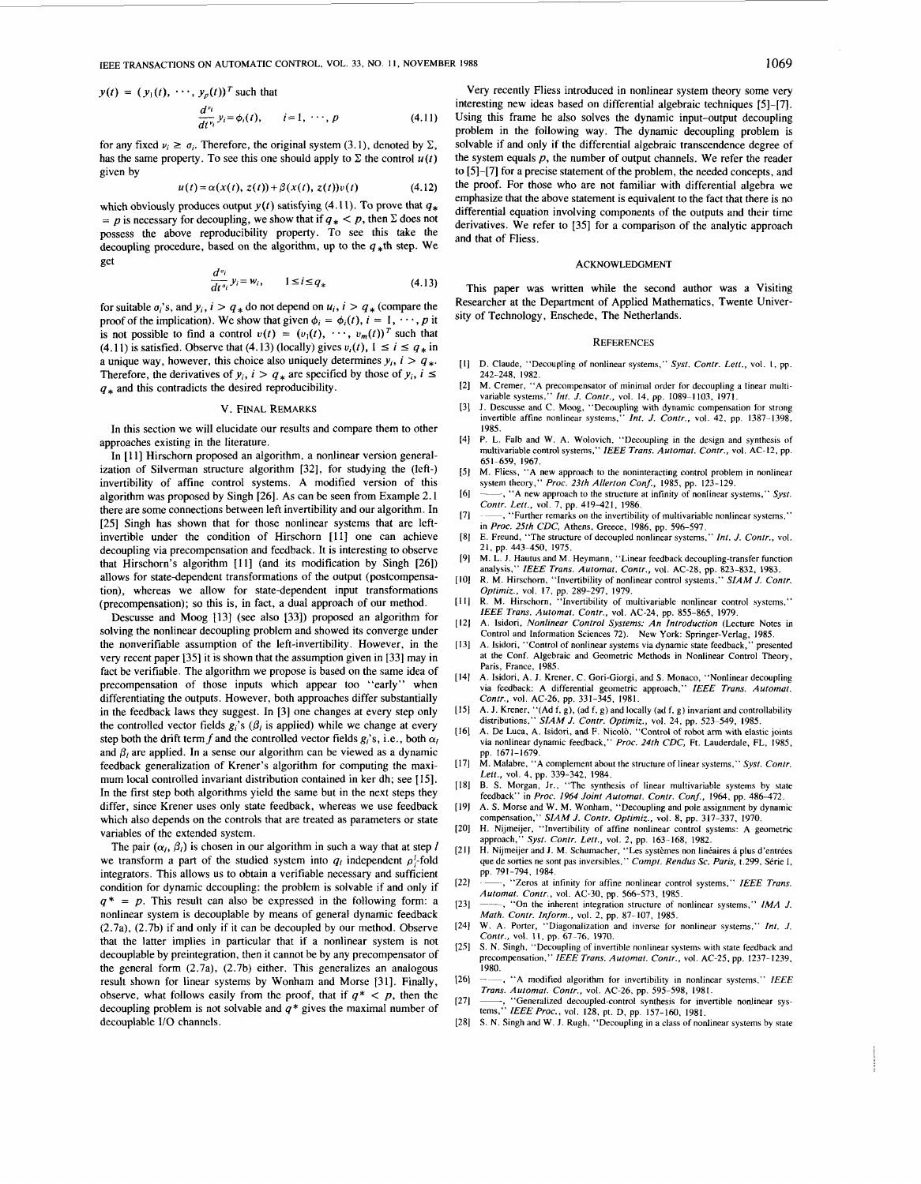$$
y(t) = (y_1(t), \cdots, y_p(t))^T
$$
 such that  

$$
\frac{d^{y_i}}{dt^{y_i}} y_i = \phi_i(t), \qquad i = 1, \cdots, p
$$
(4.11)

for any fixed  $\nu_i \geq \sigma_i$ . Therefore, the original system (3.1), denoted by  $\Sigma$ , has the same property. To see this one should apply to  $\Sigma$  the control  $u(t)$ given by

$$
u(t) = \alpha(x(t), z(t)) + \beta(x(t), z(t))v(t)
$$
 (4.12)

which obviously produces output  $y(t)$  satisfying (4.11). To prove that  $q_*$  $= p$  is necessary for decoupling, we show that if  $q_* < p$ , then  $\Sigma$  does not possess the above reproducibility property. To see this take the possess the above reproductionly property. To see this take the decoupling procedure, based on the algorithm, up to the  $q_*$ th step. We get<br>get  $\frac{d^{q_i}}{dt^{q_i}} y_i = w_i$ ,  $1 \le i \le q_*$  (4.13) get

$$
\frac{d^{a_i}}{dt^{a_i}} y_i = w_i, \qquad 1 \le i \le q_* \tag{4.13}
$$

for suitable  $\sigma_i$ 's, and  $y_i$ ,  $i > q_*$  do not depend on  $u_i$ ,  $i > q_*$  (compare the proof of the implication). We show that given  $\phi_i = \phi_i(t)$ ,  $i = 1, \dots, p$  it is not possible to find a control  $v(t) = (v_1(t), \dots, v_m(t))^T$  such that proof of the implication). We show that given  $\phi_i = \phi_i(t)$ ,  $i = 1, \dots, p$  it<br>is not possible to find a control  $v(t) = (v_1(t), \dots, v_m(t))^T$  such that<br>(4.11) is satisfied. Observe that (4.13) (locally) gives  $v_i(t)$ ,  $1 \le i \le q_*$  in<br>a u a unique way, however, this choice also uniquely determines  $y_i$ ,  $i > q_*$ .<br>Therefore, the derivatives of  $y_i$ ,  $i > q_*$  are specified by those of  $y_i$ ,  $i \leq$ (4.11) is satisfied. Observe that (4.13) (locally) gives  $v_i(t)$ ,  $1 \le i \le q_*$  in<br>a unique way, however, this choice also uniquely determines  $y_i$ ,  $i > q_*$ .<br>Therefore, the derivatives of  $y_i$ ,  $i > q_*$  are specified by those of  $q_*$  and this contradicts the desired reproducibility.

### v. FINAL REMARKS

In this section we will elucidate our results and compare them to other approaches existing in the literature.

In [11] Hirschorn proposed an algorithm, a nonlinear version generalization of Silverman structure algorithm [32], for studying the (left-) invertibility of affine control systems. A modified version of this algorithm was proposed by Singh [26]. As can be seen from Example 2.1 there are some connections between left invertibility and our algorithm. In [25] Singh has shown that for those nonlinear systems that are leftinvertible under the condition of Hirschorn [ll] one can achieve decoupling via precompensation and feedback. It is interesting to observe that Hirschorn's algorithm [ll] (and its modification by Singh [26]) allows for state-dependent transformations of the output (postcompensation), whereas we allow for state-dependent input transformations (precompensation); so this is, in fact, a dual approach of our method.

Descusse and Moog I131 (see also [33]) proposed an algorithm for solving the nonlinear decoupling problem and showed its converge under the nonverifiable assumption of the left-invertibility. However, in the very recent paper [35] it is shown that the assumption given in [33] may in fact be verifiable. The algorithm we propose is based on the same idea of precompensation of those inputs which appear too "early" when differentiating the outputs. However, both approaches differ substantially in the feedback laws they suggest. In [3] one changes at every step only the controlled vector fields  $g_i$ 's ( $\beta_i$  is applied) while we change at every step both the drift term f and the controlled vector fields  $g_i$ 's, *i.e.*, both  $\alpha_i$ and  $\beta_i$  are applied. In a sense our algorithm can be viewed as a dynamic feedback generalization of Krener's algorithm for computing the maximum local controlled invariant distribution contained in ker dh; see [15]. In the first step both algorithms yield the same but in the next steps they differ, since Krener uses only state feedback, whereas we use feedback which also depends on the controls that are treated as parameters or state variables of the extended system.

The pair  $(\alpha_i, \beta_i)$  is chosen in our algorithm in such a way that at step *l* we transform a part of the studied system into  $q_i$  independent  $\rho_i^i$ -fold integrators. This allows us to obtain a verifiable necessary and sufficient condition for dynamic decoupling: the problem is solvable if and only if  $q^* = p$ . This result can also be expressed in the following form: a nonlinear system is decouplable by means of general dynamic feedback (2.7a), (2.7b) if and only if it can be decoupled by our method. Observe that the latter implies in particular that if a nonlinear system is not decouplable by preintegration, then it cannot be by any precompensator of the general form (2.7a), (2.7b) either. This generalizes an analogous result shown for linear systems by Wonham and Morse [31]. Finally, observe, what follows easily from the proof, that if  $q^*$  < p, then the decoupling problem is not solvable and *q* \* gives the maximal number of decouplable I/O channels.

Very recently Fliess introduced in nonlinear system theory some very interesting new ideas based on differential algebraic techniques [5]-[7]. Using this frame he also solves the dynamic input-output decoupling problem in the following way. The dynamic decoupling problem is solvable if and only if the differential algebraic transcendence degree of the system equals *p,* the number of output channels. We refer the reader to [5]-[7] for a precise statement of the problem, the needed concepts, and the proof. For those who are not familiar with differential algebra we emphasize that the above statement is equivalent to the fact that there is no differential equation involving components of the outputs and their time derivatives. We refer to [35] for a comparison of the analytic approach and that of Fliess.

#### ACKNOWLEDGMENT

This paper was written while the second author was a Visiting Researcher at the Department of Applied Mathematics, Twente University of Technology, Enschede, The Netherlands.

#### **REFERENCES**

- D. Claude, "Decoupling of nonlinear systems," *Syst. Contr. Lett.,* vol. I, pp. **242-248, 1982.**
- M. Cremer, "A precompensator of minimal order for decoupling a linear multi-
- variable systems," *Int. J. Contr.*, vol. 14, pp. 1089–1103, 1971.<br>J. Descusse and C. Moog, "Decoupling with dynamic compensation for strong<br>invertible affine nonlinear systems," *Int. J. Contr.*, vol. 42, pp. 1387–1398.  $\overline{3}$ **1985.**
- P. L. Falb and W. A. Wolovich, "Decoupling in the design and synthesis of  $[4]$ multivariable control systems," *IEEE Trans. Automat. Contr.,* vol. AC-12, pp. **651-659, 1967.**
- $\sqrt{5}$ M. Fliess. "A new approach to the noninteracting control problem in nonlinear
- system theory," *Proc. 23th Allerton Conf.,* 1985, pp. **123-129.**  , "A new approach to the structure at infinity of nonlinear systems," Syst. ~- , "Further remarks on the invertibility of multivariable nonlinear systems," *Contr. Lett.,* vol. **7,** pp. **419421, 1986.**
- $[7]$ in *Proc. 25th CDC,* Athens, Greece, **1986,** pp. **596-597.**
- $[8]$ E. Freund, "The structure of decoupled nonlinear systems," *Int. J. Contr.,* vol. **21,** pp. **443450, 1975.**
- $[9]$ M. L. J. Hautus and M. Heymann, "Linear feedback decoupling-transfer function analysis." IEEE Trans. Automat. Contr.. vol. AC-28, np. 823-832. 1983. analysis," *IEEE Trans. Automat. Contr.,* vol. **AC-28,** pp. **823-832, 1983.**
- $[10]$ R. M. Hirschom. "Invertibility of nonlinear control systems." *SIAM J. Contr. Optimiz.,* vol. **17, pp. 289-297, 1979.**
- $[11]$ **R.** M. Hirschorn, "Invertibility of multivariable nonlinear control systems," *IEEE Trans. Automat. Contr.,* vol. **AC-24,** pp. **855-865, 1979.**
- A. Isidori, *Nonlinear Control Systems: An Introduction* (Lecture Notes in  $[12]$ Control and Information Sciences **72).**  New York: Springer-Verlag, **1985.**
- $[13]$ A. Isidori, "Control of nonlinear systems via dynamic state feedback," presented at the Conf. Algebraic and Geometric Methods in Nonlinear Control Theory, Paris, France, **1985.**
- $[14]$ A. Isidori, A. J. Krener, C. Gori-Giorgi, and *S.* Monaco, "Nonlinear decoupling via feedback: A differential geometric approach," *IEEE Trans. Automat. Contr.,* vol. **AC-26,** pp. **331-345. 1981.**
- $[15]$ A. J. Krener, "(Ad f, g), (ad f, g) and locally (ad f, g) invariant and controllability<br>distributions," SIAM J. Contr. Optimiz., vol. 24, pp. 523–549, 1985.<br>A. De Luca, A. Isidori, and F. Nicolò, "Control of robot arm with
- $[16]$ via nonlinear dynamic feedback," *Proc. 24th CDC,* Ft. Lauderdale, FL, **1985,**  pp. **1671-1679.**
- M. Malabre, "A complement about the structure of linear systems," *Syst. Contr.*   $[17]$ *Lett.,* vol. **4,** pp. **339-342, 1984.**
- B. *S.* Morgan, Jr., "The synthesis of linear multivariable systems by state  $[18]$
- feedback" in Proc. 1964 Joint Automat. Contr. Conf., 1964, pp. 486-472.<br>A. S. Morse and W. M. Wonham, "Decoupling and pole assignment by dynamic<br>compensation," SIAM J. Contr. Optimiz., vol. 8, pp. 317-337, 1970.  $[19]$
- $[20]$ H. Nijmeijer, "Invertibility of affine nonlinear control systems: A geometric approach, '' *Syst. Contr. Lett.*, vol. 2, pp. 163-168, 1982.<br>H. Nijmeijer and J. M. Schumacher, ''Les systèmes non linéaires á plus d'entrées
- $[21]$ que de sorties ne sont pas inversibles." *Compt. Rendus Sc. Paris,* t.299, Strie I. pp. **791-794, 1984.**
- $[22]$ ~~ , "Zeros at infinity for affine nonlinear control systems,'' *IEEE Trans. Automat. Contr.*, vol. AC-30, pp. 566-573, 1985.<br>
-----, "On the inherent integration structure of nonlinear systems," *IMA J.*
- $[23]$ *Math. Contr. Inform.,* **vol. 2,** pp. **87-107, 1985.**
- $[24]$ W. A. Porter, "Diagonalization and inverse for nonlinear systems," *Int. J. Contr.*, vol. 11, pp. 67-76, 1970.
- $[25]$ *S.* N. Singh, "Decoupling of invertible nonlinear systems with state feedback and precompensation," IEEE *Trans. Automat. Contr.,* vol. AC-25. pp. **1237-1239.**  1980.
- $[26]$ A modified algorithm for invertibility in nonlinear systems," IEEE *Trans. Automat. Contr.,* vol. AC-26, pp. **595-598, 1981.**   $[27]$
- 'Generalized decoupled-control synthesis for invertible nonlinear systems," *IEEEProc.,* vol. **128,** pt. D, pp. **157-160. 1981.**
- *S. N. Singh and W. J. Rugh, "Decoupling in a class of nonlinear systems by state*  $[28]$